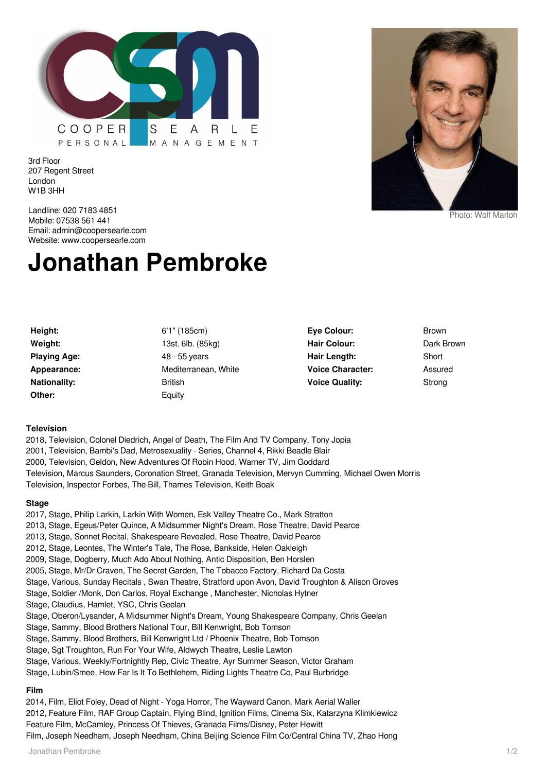

3rd Floor 207 Regent Street London W1B 3HH



Photo: Wolf Marloh

Landline: 020 7183 4851 Mobile: 07538 561 441 Email: admin@coopersearle.com Website: www.coopersearle.com

# **Jonathan Pembroke**

| Height:             | 6'1''(1)       |
|---------------------|----------------|
| Weight:             | 13st. 6        |
| <b>Playing Age:</b> | 48 - 55        |
| Appearance:         | Medite         |
| <b>Nationality:</b> | <b>British</b> |
| Other:              | Equity         |

**Height:** 6'1" (185cm) **Weight:** 13st. 6lb. (85kg) **Playing Age:** 48 - 55 years **Mediterranean, White British** 

**Eye Colour:** Brown Hair Colour: Dark Brown **Hair Length:** Short **Voice Character:** Assured **Voice Quality:** Strong

### **Television**

2018, Television, Colonel Diedrich, Angel of Death, The Film And TV Company, Tony Jopia 2001, Television, Bambi's Dad, Metrosexuality - Series, Channel 4, Rikki Beadle Blair 2000, Television, Geldon, New Adventures Of Robin Hood, Warner TV, Jim Goddard Television, Marcus Saunders, Coronation Street, Granada Television, Mervyn Cumming, Michael Owen Morris Television, Inspector Forbes, The Bill, Thames Television, Keith Boak

#### **Stage**

2017, Stage, Philip Larkin, Larkin With Women, Esk Valley Theatre Co., Mark Stratton 2013, Stage, Egeus/Peter Quince, A Midsummer Night's Dream, Rose Theatre, David Pearce 2013, Stage, Sonnet Recital, Shakespeare Revealed, Rose Theatre, David Pearce 2012, Stage, Leontes, The Winter's Tale, The Rose, Bankside, Helen Oakleigh 2009, Stage, Dogberry, Much Ado About Nothing, Antic Disposition, Ben Horslen 2005, Stage, Mr/Dr Craven, The Secret Garden, The Tobacco Factory, Richard Da Costa Stage, Various, Sunday Recitals , Swan Theatre, Stratford upon Avon, David Troughton & Alison Groves Stage, Soldier /Monk, Don Carlos, Royal Exchange , Manchester, Nicholas Hytner Stage, Claudius, Hamlet, YSC, Chris Geelan Stage, Oberon/Lysander, A Midsummer Night's Dream, Young Shakespeare Company, Chris Geelan Stage, Sammy, Blood Brothers National Tour, Bill Kenwright, Bob Tomson Stage, Sammy, Blood Brothers, Bill Kenwright Ltd / Phoenix Theatre, Bob Tomson Stage, Sgt Troughton, Run For Your Wife, Aldwych Theatre, Leslie Lawton Stage, Various, Weekly/Fortnightly Rep, Civic Theatre, Ayr Summer Season, Victor Graham Stage, Lubin/Smee, How Far Is It To Bethlehem, Riding Lights Theatre Co, Paul Burbridge **Film**

2014, Film, Eliot Foley, Dead of Night - Yoga Horror, The Wayward Canon, Mark Aerial Waller 2012, Feature Film, RAF Group Captain, Flying Blind, Ignition Films, Cinema Six, Katarzyna Klimkiewicz Feature Film, McCamley, Princess Of Thieves, Granada Films/Disney, Peter Hewitt Film, Joseph Needham, Joseph Needham, China Beijing Science Film Co/Central China TV, Zhao Hong